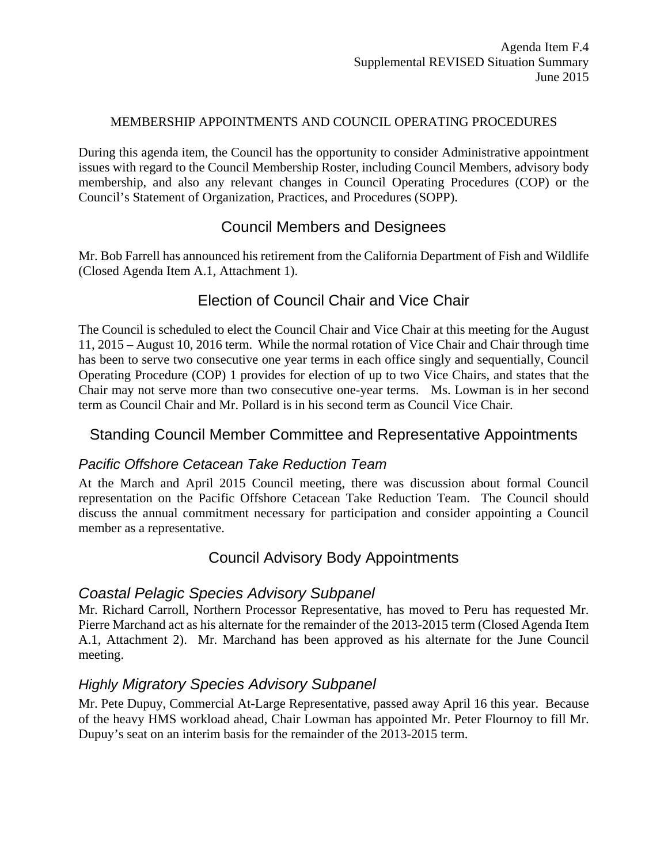#### MEMBERSHIP APPOINTMENTS AND COUNCIL OPERATING PROCEDURES

During this agenda item, the Council has the opportunity to consider Administrative appointment issues with regard to the Council Membership Roster, including Council Members, advisory body membership, and also any relevant changes in Council Operating Procedures (COP) or the Council's Statement of Organization, Practices, and Procedures (SOPP).

## Council Members and Designees

Mr. Bob Farrell has announced his retirement from the California Department of Fish and Wildlife (Closed Agenda Item A.1, Attachment 1).

# Election of Council Chair and Vice Chair

The Council is scheduled to elect the Council Chair and Vice Chair at this meeting for the August 11, 2015 – August 10, 2016 term. While the normal rotation of Vice Chair and Chair through time has been to serve two consecutive one year terms in each office singly and sequentially, Council Operating Procedure (COP) 1 provides for election of up to two Vice Chairs, and states that the Chair may not serve more than two consecutive one-year terms. Ms. Lowman is in her second term as Council Chair and Mr. Pollard is in his second term as Council Vice Chair.

## Standing Council Member Committee and Representative Appointments

### *Pacific Offshore Cetacean Take Reduction Team*

At the March and April 2015 Council meeting, there was discussion about formal Council representation on the Pacific Offshore Cetacean Take Reduction Team. The Council should discuss the annual commitment necessary for participation and consider appointing a Council member as a representative.

## Council Advisory Body Appointments

## *Coastal Pelagic Species Advisory Subpanel*

Mr. Richard Carroll, Northern Processor Representative, has moved to Peru has requested Mr. Pierre Marchand act as his alternate for the remainder of the 2013-2015 term (Closed Agenda Item A.1, Attachment 2). Mr. Marchand has been approved as his alternate for the June Council meeting.

## *Highly Migratory Species Advisory Subpanel*

Mr. Pete Dupuy, Commercial At-Large Representative, passed away April 16 this year. Because of the heavy HMS workload ahead, Chair Lowman has appointed Mr. Peter Flournoy to fill Mr. Dupuy's seat on an interim basis for the remainder of the 2013-2015 term.